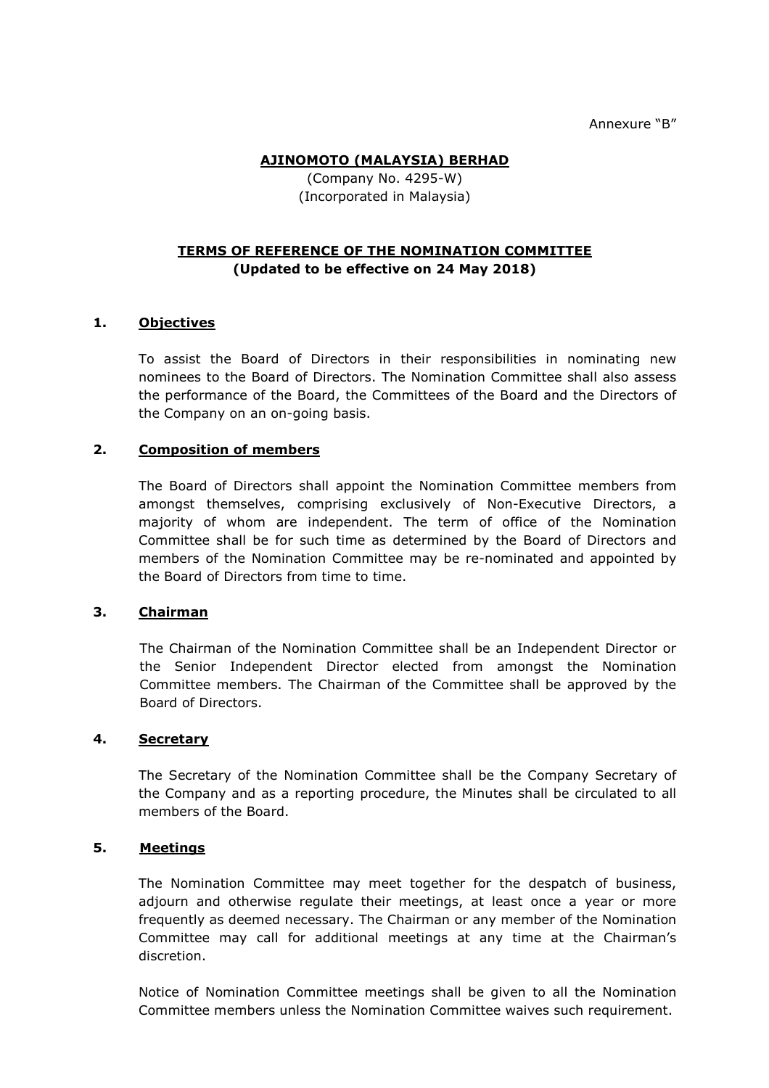Annexure "B"

### **AJINOMOTO (MALAYSIA) BERHAD**

(Company No. 4295-W) (Incorporated in Malaysia)

# **TERMS OF REFERENCE OF THE NOMINATION COMMITTEE (Updated to be effective on 24 May 2018)**

# **1. Objectives**

To assist the Board of Directors in their responsibilities in nominating new nominees to the Board of Directors. The Nomination Committee shall also assess the performance of the Board, the Committees of the Board and the Directors of the Company on an on-going basis.

# **2. Composition of members**

The Board of Directors shall appoint the Nomination Committee members from amongst themselves, comprising exclusively of Non-Executive Directors, a majority of whom are independent. The term of office of the Nomination Committee shall be for such time as determined by the Board of Directors and members of the Nomination Committee may be re-nominated and appointed by the Board of Directors from time to time.

# **3. Chairman**

The Chairman of the Nomination Committee shall be an Independent Director or the Senior Independent Director elected from amongst the Nomination Committee members. The Chairman of the Committee shall be approved by the Board of Directors.

#### **4. Secretary**

The Secretary of the Nomination Committee shall be the Company Secretary of the Company and as a reporting procedure, the Minutes shall be circulated to all members of the Board.

# **5. Meetings**

The Nomination Committee may meet together for the despatch of business, adjourn and otherwise regulate their meetings, at least once a year or more frequently as deemed necessary. The Chairman or any member of the Nomination Committee may call for additional meetings at any time at the Chairman's discretion.

Notice of Nomination Committee meetings shall be given to all the Nomination Committee members unless the Nomination Committee waives such requirement.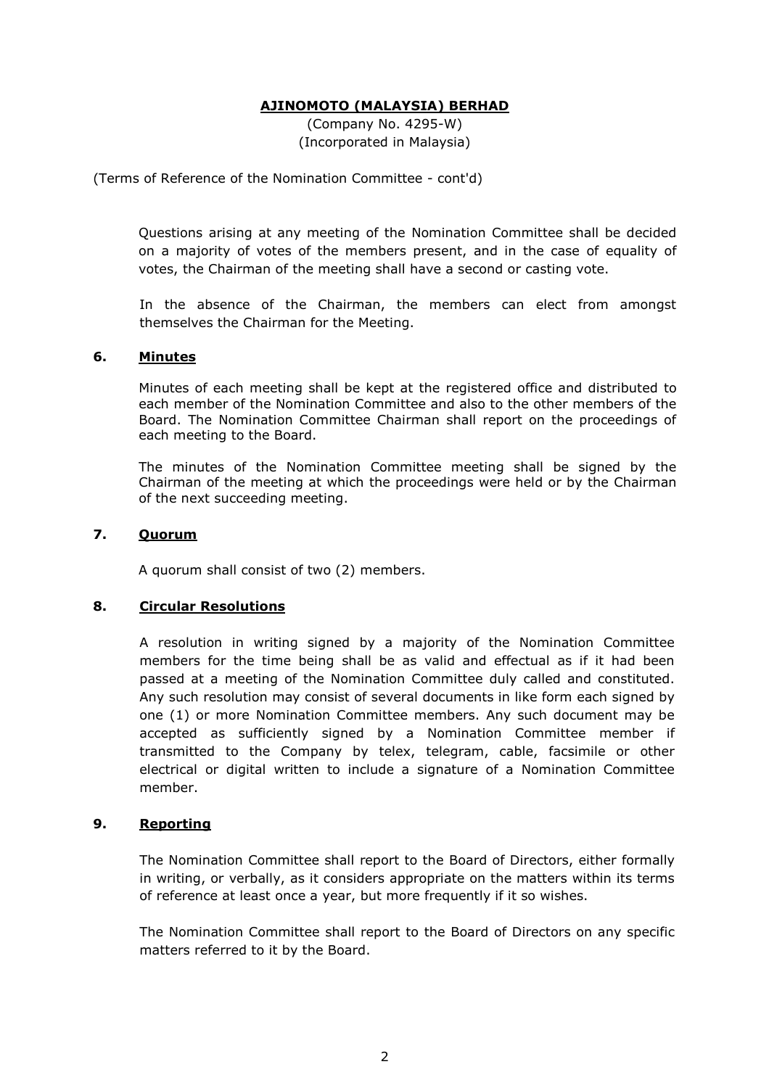# **AJINOMOTO (MALAYSIA) BERHAD**

(Company No. 4295-W) (Incorporated in Malaysia)

(Terms of Reference of the Nomination Committee - cont'd)

Questions arising at any meeting of the Nomination Committee shall be decided on a majority of votes of the members present, and in the case of equality of votes, the Chairman of the meeting shall have a second or casting vote.

In the absence of the Chairman, the members can elect from amongst themselves the Chairman for the Meeting.

#### **6. Minutes**

Minutes of each meeting shall be kept at the registered office and distributed to each member of the Nomination Committee and also to the other members of the Board. The Nomination Committee Chairman shall report on the proceedings of each meeting to the Board.

The minutes of the Nomination Committee meeting shall be signed by the Chairman of the meeting at which the proceedings were held or by the Chairman of the next succeeding meeting.

### **7. Quorum**

A quorum shall consist of two (2) members.

#### **8. Circular Resolutions**

A resolution in writing signed by a majority of the Nomination Committee members for the time being shall be as valid and effectual as if it had been passed at a meeting of the Nomination Committee duly called and constituted. Any such resolution may consist of several documents in like form each signed by one (1) or more Nomination Committee members. Any such document may be accepted as sufficiently signed by a Nomination Committee member if transmitted to the Company by telex, telegram, cable, facsimile or other electrical or digital written to include a signature of a Nomination Committee member.

# **9. Reporting**

The Nomination Committee shall report to the Board of Directors, either formally in writing, or verbally, as it considers appropriate on the matters within its terms of reference at least once a year, but more frequently if it so wishes.

The Nomination Committee shall report to the Board of Directors on any specific matters referred to it by the Board.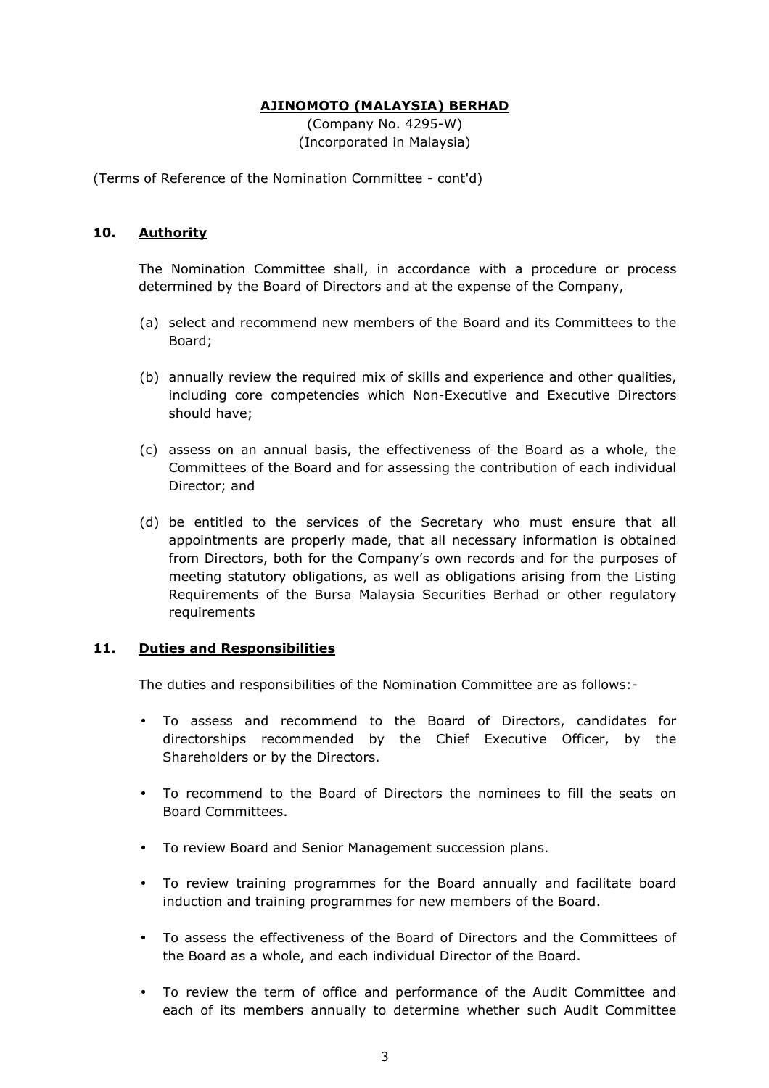# **AJINOMOTO (MALAYSIA) BERHAD**

(Company No. 4295-W) (Incorporated in Malaysia)

(Terms of Reference of the Nomination Committee - cont'd)

### **10. Authority**

The Nomination Committee shall, in accordance with a procedure or process determined by the Board of Directors and at the expense of the Company,

- (a) select and recommend new members of the Board and its Committees to the Board;
- (b) annually review the required mix of skills and experience and other qualities, including core competencies which Non-Executive and Executive Directors should have;
- (c) assess on an annual basis, the effectiveness of the Board as a whole, the Committees of the Board and for assessing the contribution of each individual Director; and
- (d) be entitled to the services of the Secretary who must ensure that all appointments are properly made, that all necessary information is obtained from Directors, both for the Company's own records and for the purposes of meeting statutory obligations, as well as obligations arising from the Listing Requirements of the Bursa Malaysia Securities Berhad or other regulatory requirements

### **11. Duties and Responsibilities**

The duties and responsibilities of the Nomination Committee are as follows:-

- To assess and recommend to the Board of Directors, candidates for directorships recommended by the Chief Executive Officer, by the Shareholders or by the Directors.
- To recommend to the Board of Directors the nominees to fill the seats on Board Committees.
- To review Board and Senior Management succession plans.
- To review training programmes for the Board annually and facilitate board induction and training programmes for new members of the Board.
- To assess the effectiveness of the Board of Directors and the Committees of the Board as a whole, and each individual Director of the Board.
- To review the term of office and performance of the Audit Committee and each of its members annually to determine whether such Audit Committee